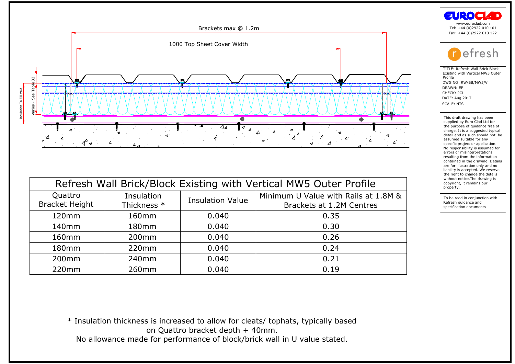

| Quattro<br><b>Bracket Height</b> | Insulation<br>Thickness * | <b>Insulation Value</b> | Minimum U Value with Rails at 1.8M &<br>Brackets at 1.2M Centres                  |
|----------------------------------|---------------------------|-------------------------|-----------------------------------------------------------------------------------|
| 120mm                            | 160mm                     | 0.040                   | 0.35                                                                              |
| 140 <sub>mm</sub>                | 180 <sub>mm</sub>         | 0.040                   | 0.30                                                                              |
| 160 <sub>mm</sub>                | 200 <sub>mm</sub>         | 0.040                   | 0.26                                                                              |
| 180mm                            | 220mm                     | 0.040                   | 0.24                                                                              |
| 200 <sub>mm</sub>                | 240 <sub>mm</sub>         | 0.040                   | 0.21                                                                              |
| 220mm                            | 260 <sub>mm</sub>         | 0.040                   | 0.19                                                                              |
|                                  |                           |                         | * Insulation thickness is increased to allow for cleats/ tophats, typically based |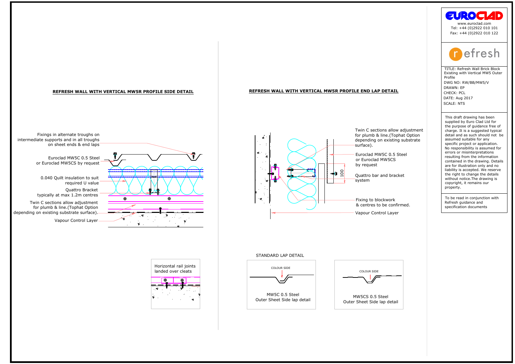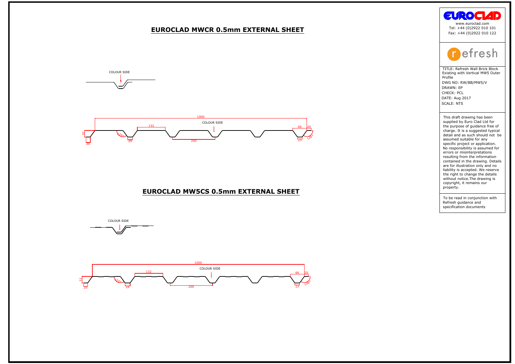









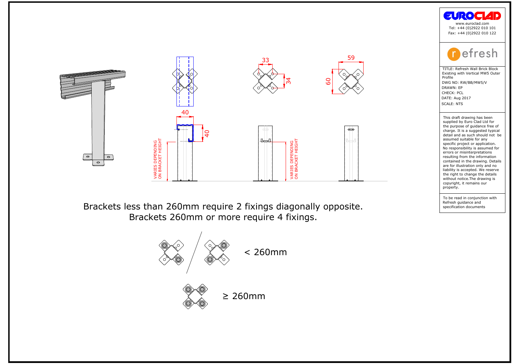



**Example 18 Control Control Control Control Control Control Control Control Control Control Control Control Control Control Control Control Control Control Control Control Control Control Control Control Control Control Co** 

the purpose of guidance free compare of guidance free charge. It is a suggested typic<br>detail and as such should not<br>assumed suitable for any<br>conjunction project or application.<br>No responsibility is assumed ferrors or misin charge: it is a suggest<br>detail and as such shassumed suitable for<br>assumed suitable for applications of a proportion of<br>No responsibility is assement and the draw<br>contained in the draw<br>and in the draw without notice. The dr